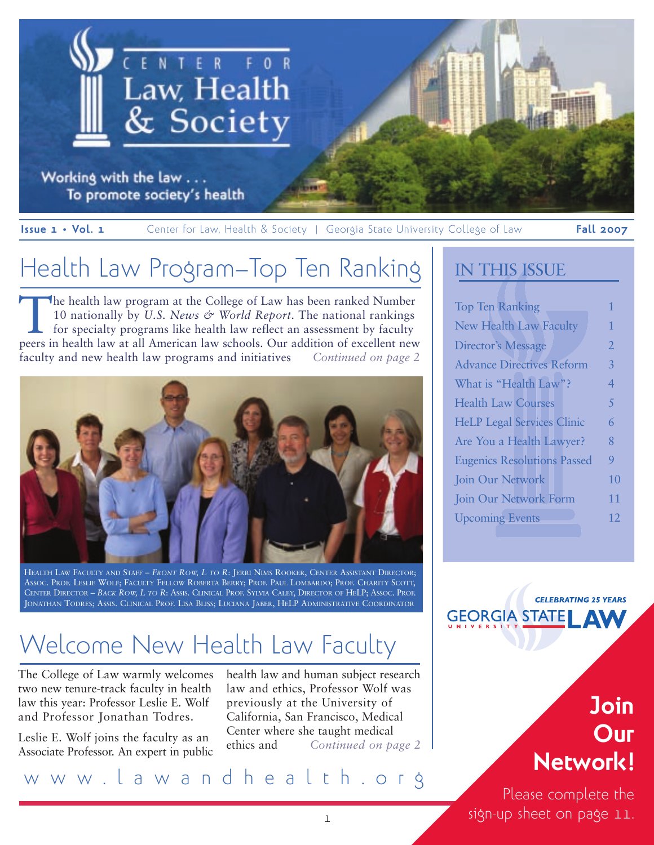

Working with the law . . . To promote society's health

**Issue 1 • Vol. 1 Center for Law, Health & Society | Georgia State University College of Law <b>Fall 2007** 

# Health Law Program–Top Ten Ranking

The health law program at the College of Law has been ranked Number 10 nationally by *U.S. News & World Report*. The national rankings for specialty programs like health law reflect an assessment by faculty peers in health law at all American law schools. Our addition of excellent new faculty and new health law programs and initiatives *Continued on page 2* 



HEALTH LAW FACULTY AND STAFF – *FRONT ROW, L TO R*: JERRI NIMS ROOKER, CENTER ASSISTANT DIRECTOR; ASSOC. PROF. LESLIE WOLF; FACULTY FELLOW ROBERTA BERRY; PROF. PAUL LOMBARDO; PROF. CHARITY SCOTT, CENTER DIRECTOR – *BACK ROW, L TO R*: ASSIS. CLINICAL PROF. SYLVIA CALEY, DIRECTOR OF HELP; ASSOC. PROF. JONATHAN TODRES; ASSIS. CLINICAL PROF. LISA BLISS; LUCIANA JABER, HELP ADMINISTRATIVE COORDINATOR

# Welcome New Health Law Faculty

The College of Law warmly welcomes two new tenure-track faculty in health law this year: Professor Leslie E. Wolf and Professor Jonathan Todres.

Leslie E. Wolf joins the faculty as an Associate Professor. An expert in public health law and human subject research law and ethics, Professor Wolf was previously at the University of California, San Francisco, Medical Center where she taught medical ethics and *Continued on page 2*

## www.lawandhealth.org

### IN THIS ISSUE

| <b>Top Ten Ranking</b>             | 1              |
|------------------------------------|----------------|
| <b>New Health Law Faculty</b>      | 1              |
| <b>Director's Message</b>          | $\overline{2}$ |
| <b>Advance Directives Reform</b>   | 3              |
| What is "Health Law"?              | 4              |
| <b>Health Law Courses</b>          | 5              |
| <b>HeLP Legal Services Clinic</b>  | 6              |
| Are You a Health Lawyer?           | 8              |
| <b>Eugenics Resolutions Passed</b> | 9              |
| Join Our Network                   | 10             |
| Join Our Network Form              |                |
| <b>Upcoming Events</b>             | 12             |
|                                    |                |

**CELEBRATING 25 YEARS GEORGIA STATE AV** 

# **Join Our Network!**

Please complete the sign-up sheet on page 11.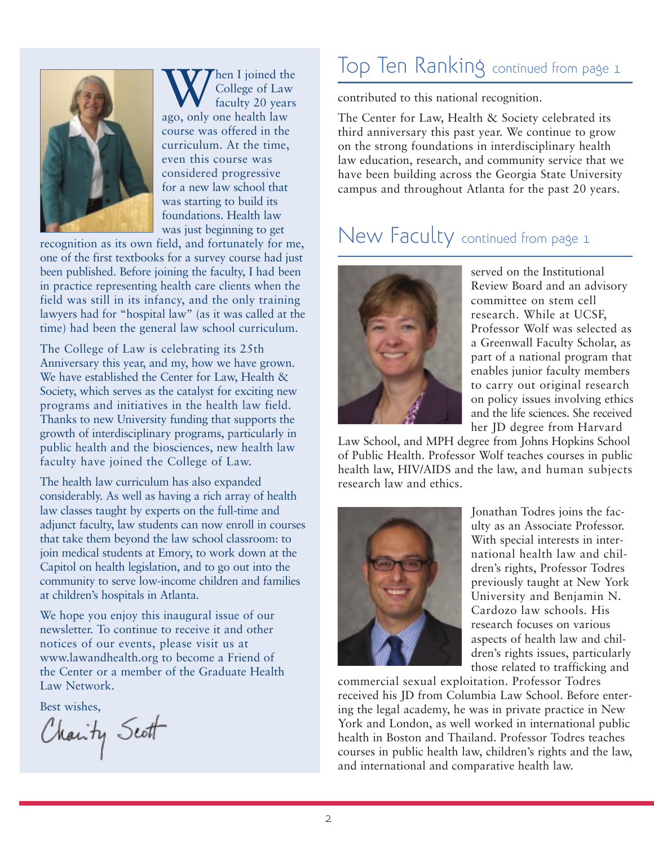

When I joined the<br>College of Law<br>ago, only one health law College of Law faculty 20 years course was offered in the curriculum. At the time, even this course was considered progressive for a new law school that was starting to build its foundations. Health law was just beginning to get

recognition as its own field, and fortunately for me, one of the first textbooks for a survey course had just been published. Before joining the faculty, I had been in practice representing health care clients when the field was still in its infancy, and the only training lawyers had for "hospital law" (as it was called at the time) had been the general law school curriculum.

The College of Law is celebrating its 25th Anniversary this year, and my, how we have grown. We have established the Center for Law, Health & Society, which serves as the catalyst for exciting new programs and initiatives in the health law field. Thanks to new University funding that supports the growth of interdisciplinary programs, particularly in public health and the biosciences, new health law faculty have joined the College of Law.

The health law curriculum has also expanded considerably. As well as having a rich array of health law classes taught by experts on the full-time and adjunct faculty, law students can now enroll in courses that take them beyond the law school classroom: to join medical students at Emory, to work down at the Capitol on health legislation, and to go out into the community to serve low-income children and families at children's hospitals in Atlanta.

We hope you enjoy this inaugural issue of our newsletter. To continue to receive it and other notices of our events, please visit us at www.lawandhealth.org to become a Friend of the Center or a member of the Graduate Health Law Network.

Best wishes,<br>Charity Scott

## Top Ten Ranking continued from page 1

contributed to this national recognition.

The Center for Law, Health & Society celebrated its third anniversary this past year. We continue to grow on the strong foundations in interdisciplinary health law education, research, and community service that we have been building across the Georgia State University campus and throughout Atlanta for the past 20 years.

## New Faculty continued from page 1



served on the Institutional Review Board and an advisory committee on stem cell research. While at UCSF, Professor Wolf was selected as a Greenwall Faculty Scholar, as part of a national program that enables junior faculty members to carry out original research on policy issues involving ethics and the life sciences. She received her JD degree from Harvard

Law School, and MPH degree from Johns Hopkins School of Public Health. Professor Wolf teaches courses in public health law, HIV/AIDS and the law, and human subjects research law and ethics.



Jonathan Todres joins the faculty as an Associate Professor. With special interests in international health law and children's rights, Professor Todres previously taught at New York University and Benjamin N. Cardozo law schools. His research focuses on various aspects of health law and children's rights issues, particularly those related to trafficking and

commercial sexual exploitation. Professor Todres received his JD from Columbia Law School. Before entering the legal academy, he was in private practice in New York and London, as well worked in international public health in Boston and Thailand. Professor Todres teaches courses in public health law, children's rights and the law, and international and comparative health law.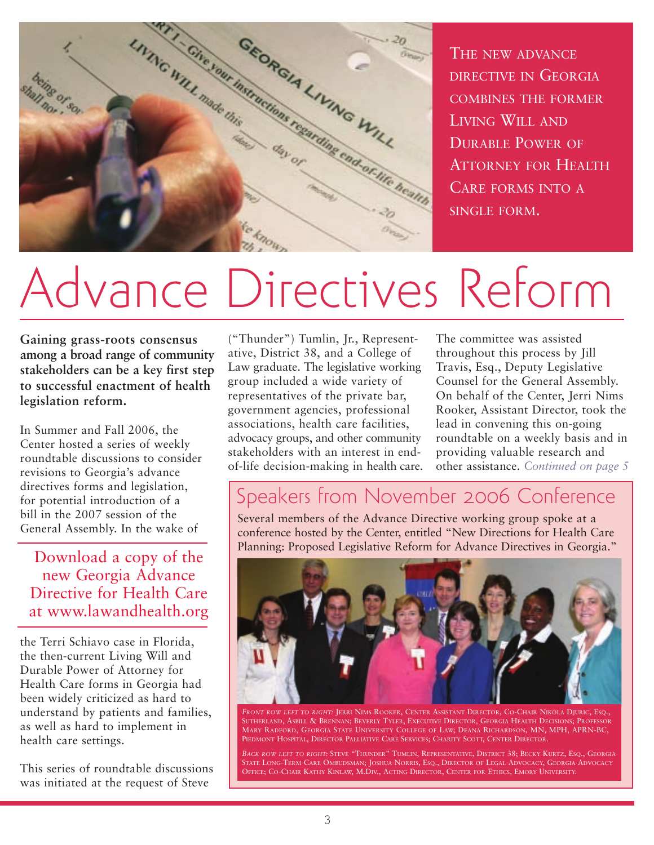

THE NEW ADVANCE DIRECTIVE IN GEORGIA COMBINES THE FORMER LIVING WILL AND DURABLE POWER OF ATTORNEY FOR HEALTH CARE FORMS INTO A SINGLE FORM.

# Advance Directives Reform

**Gaining grass-roots consensus among a broad range of community stakeholders can be a key first step to successful enactment of health legislation reform.**

In Summer and Fall 2006, the Center hosted a series of weekly roundtable discussions to consider revisions to Georgia's advance directives forms and legislation, for potential introduction of a bill in the 2007 session of the General Assembly. In the wake of

Download a copy of the new Georgia Advance Directive for Health Care at www.lawandhealth.org

the Terri Schiavo case in Florida, the then-current Living Will and Durable Power of Attorney for Health Care forms in Georgia had been widely criticized as hard to understand by patients and families, as well as hard to implement in health care settings.

This series of roundtable discussions was initiated at the request of Steve

("Thunder") Tumlin, Jr., Representative, District 38, and a College of Law graduate. The legislative working group included a wide variety of representatives of the private bar, government agencies, professional associations, health care facilities, advocacy groups, and other community stakeholders with an interest in endof-life decision-making in health care.

The committee was assisted throughout this process by Jill Travis, Esq., Deputy Legislative Counsel for the General Assembly. On behalf of the Center, Jerri Nims Rooker, Assistant Director, took the lead in convening this on-going roundtable on a weekly basis and in providing valuable research and other assistance. *Continued on page 5*

## Speakers from November 2006 Conference

Several members of the Advance Directive working group spoke at a conference hosted by the Center, entitled "New Directions for Health Care Planning: Proposed Legislative Reform for Advance Directives in Georgia."



*FRONT ROW LEFT TO RIGHT:* JERRI NIMS ROOKER, CENTER ASSISTANT DIRECTOR, CO-CHAIR NIKOLA DJURIC, ESQ., SUTHERLAND, ASBILL & BRENNAN; BEVERLY TYLER, EXECUTIVE DIRECTOR, GEORGIA HEALTH DECISIONS; PROFESSOR MARY RADFORD, GEORGIA STATE UNIVERSITY COLLEGE OF LAW; DEANA RICHARDSON, MN, MPH, APRN-BC, PIEDMONT HOSPITAL, DIRECTOR PALLIATIVE CARE SERVICES; CHARITY SCOTT, CENTER DIRECTOR.

*BACK ROW LEFT TO RIGHT:* STEVE "THUNDER" TUMLIN, REPRESENTATIVE, DISTRICT 38; BECKY KURTZ, ESQ., GEORGIA STATE LONG-TERM CARE OMBUDSMAN; JOSHUA NORRIS, ESQ., DIRECTOR OF LEGAL ADVOCACY, GEORGIA ADVOCACY OFFICE; CO-CHAIR KATHY KINLAW, M.DIV., ACTING DIRECTOR, CENTER FOR ETHICS, EMORY UNIVERSITY.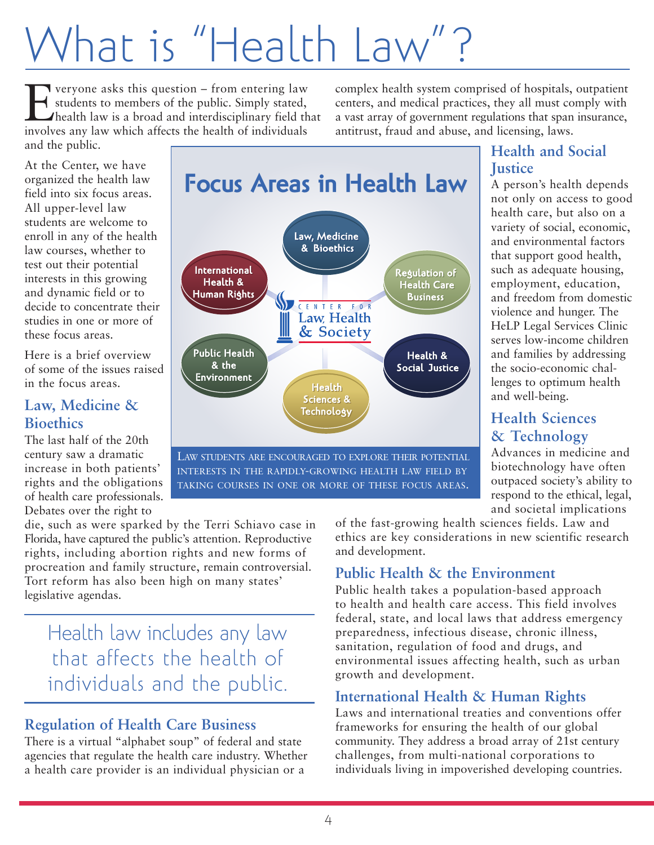# What is "Health Law

Everyone asks this question – from entering law<br>students to members of the public. Simply stated,<br>health law is a broad and interdisciplinary field the<br>involves any law which affects the health of individuals students to members of the public. Simply stated, health law is a broad and interdisciplinary field that involves any law which affects the health of individuals and the public.

complex health system comprised of hospitals, outpatient centers, and medical practices, they all must comply with a vast array of government regulations that span insurance, antitrust, fraud and abuse, and licensing, laws.

At the Center, we have organized the health law field into six focus areas. All upper-level law students are welcome to enroll in any of the health law courses, whether to test out their potential interests in this growing and dynamic field or to decide to concentrate their studies in one or more of these focus areas.

Here is a brief overview of some of the issues raised in the focus areas.

### **Law, Medicine & Bioethics**

The last half of the 20th century saw a dramatic increase in both patients' rights and the obligations of health care professionals. Debates over the right to

die, such as were sparked by the Terri Schiavo case in Florida, have captured the public's attention. Reproductive rights, including abortion rights and new forms of procreation and family structure, remain controversial. Tort reform has also been high on many states' legislative agendas.

## Health law includes any law that affects the health of individuals and the public.

### **Regulation of Health Care Business**

There is a virtual "alphabet soup" of federal and state agencies that regulate the health care industry. Whether a health care provider is an individual physician or a



INTERESTS IN THE RAPIDLY-GROWING HEALTH LAW FIELD BY TAKING COURSES IN ONE OR MORE OF THESE FOCUS AREAS.

### **Health and Social Justice**

A person's health depends not only on access to good health care, but also on a variety of social, economic, and environmental factors that support good health, such as adequate housing, employment, education, and freedom from domestic violence and hunger. The HeLP Legal Services Clinic serves low-income children and families by addressing the socio-economic challenges to optimum health and well-being.

### **Health Sciences & Technology**

Advances in medicine and biotechnology have often outpaced society's ability to respond to the ethical, legal, and societal implications

of the fast-growing health sciences fields. Law and ethics are key considerations in new scientific research and development.

### **Public Health & the Environment**

Public health takes a population-based approach to health and health care access. This field involves federal, state, and local laws that address emergency preparedness, infectious disease, chronic illness, sanitation, regulation of food and drugs, and environmental issues affecting health, such as urban growth and development.

### **International Health & Human Rights**

Laws and international treaties and conventions offer frameworks for ensuring the health of our global community. They address a broad array of 21st century challenges, from multi-national corporations to individuals living in impoverished developing countries.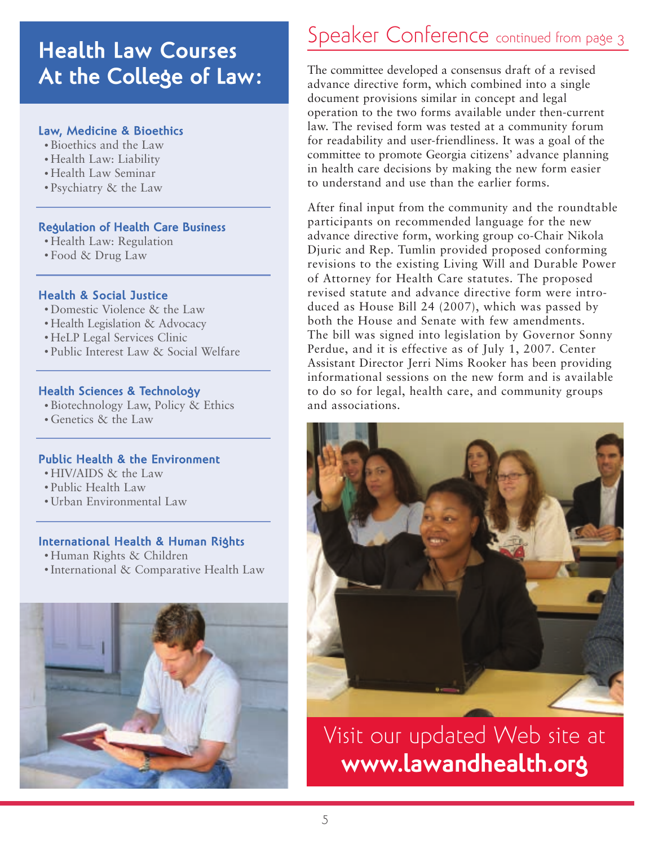## **Health Law Courses At the College of Law:**

#### **Law, Medicine & Bioethics**

- Bioethics and the Law
- Health Law: Liability
- Health Law Seminar
- Psychiatry & the Law

#### **Regulation of Health Care Business**

- Health Law: Regulation
- Food & Drug Law

#### **Health & Social Justice**

- Domestic Violence & the Law
- Health Legislation & Advocacy
- HeLP Legal Services Clinic
- Public Interest Law & Social Welfare

#### **Health Sciences & Technology**

- Biotechnology Law, Policy & Ethics
- Genetics & the Law

#### **Public Health & the Environment**

- HIV/AIDS & the Law
- Public Health Law
- Urban Environmental Law

#### **International Health & Human Rights**

- Human Rights & Children
- International & Comparative Health Law



## Speaker Conference continued from page 3

The committee developed a consensus draft of a revised advance directive form, which combined into a single document provisions similar in concept and legal operation to the two forms available under then-current law. The revised form was tested at a community forum for readability and user-friendliness. It was a goal of the committee to promote Georgia citizens' advance planning in health care decisions by making the new form easier to understand and use than the earlier forms.

After final input from the community and the roundtable participants on recommended language for the new advance directive form, working group co-Chair Nikola Djuric and Rep. Tumlin provided proposed conforming revisions to the existing Living Will and Durable Power of Attorney for Health Care statutes. The proposed revised statute and advance directive form were introduced as House Bill 24 (2007), which was passed by both the House and Senate with few amendments. The bill was signed into legislation by Governor Sonny Perdue, and it is effective as of July 1, 2007. Center Assistant Director Jerri Nims Rooker has been providing informational sessions on the new form and is available to do so for legal, health care, and community groups and associations.



Visit our updated Web site at **www.lawandhealth.org**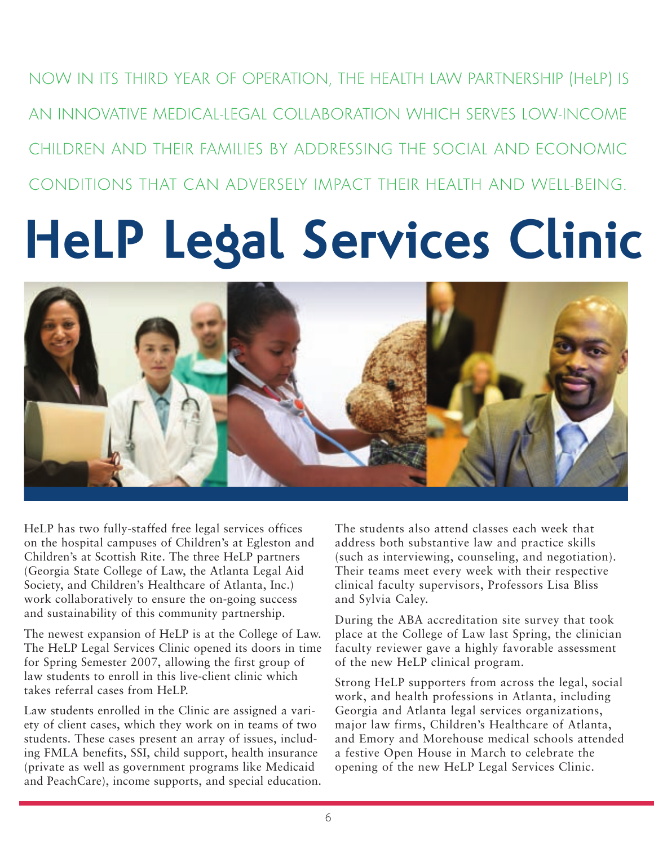NOW IN ITS THIRD YEAR OF OPERATION, THE HEALTH LAW PARTNERSHIP (HeLP) IS AN INNOVATIVE MEDICAL-LEGAL COLLABORATION WHICH SERVES LOW-INCOME CHILDREN AND THEIR FAMILIES BY ADDRESSING THE SOCIAL AND ECONOMIC CONDITIONS THAT CAN ADVERSELY IMPACT THEIR HEALTH AND WELL-BEING.

# **HeLP Legal Services Clinic**



HeLP has two fully-staffed free legal services offices on the hospital campuses of Children's at Egleston and Children's at Scottish Rite. The three HeLP partners (Georgia State College of Law, the Atlanta Legal Aid Society, and Children's Healthcare of Atlanta, Inc.) work collaboratively to ensure the on-going success and sustainability of this community partnership.

The newest expansion of HeLP is at the College of Law. The HeLP Legal Services Clinic opened its doors in time for Spring Semester 2007, allowing the first group of law students to enroll in this live-client clinic which takes referral cases from HeLP.

Law students enrolled in the Clinic are assigned a variety of client cases, which they work on in teams of two students. These cases present an array of issues, including FMLA benefits, SSI, child support, health insurance (private as well as government programs like Medicaid and PeachCare), income supports, and special education. The students also attend classes each week that address both substantive law and practice skills (such as interviewing, counseling, and negotiation). Their teams meet every week with their respective clinical faculty supervisors, Professors Lisa Bliss and Sylvia Caley.

During the ABA accreditation site survey that took place at the College of Law last Spring, the clinician faculty reviewer gave a highly favorable assessment of the new HeLP clinical program.

Strong HeLP supporters from across the legal, social work, and health professions in Atlanta, including Georgia and Atlanta legal services organizations, major law firms, Children's Healthcare of Atlanta, and Emory and Morehouse medical schools attended a festive Open House in March to celebrate the opening of the new HeLP Legal Services Clinic.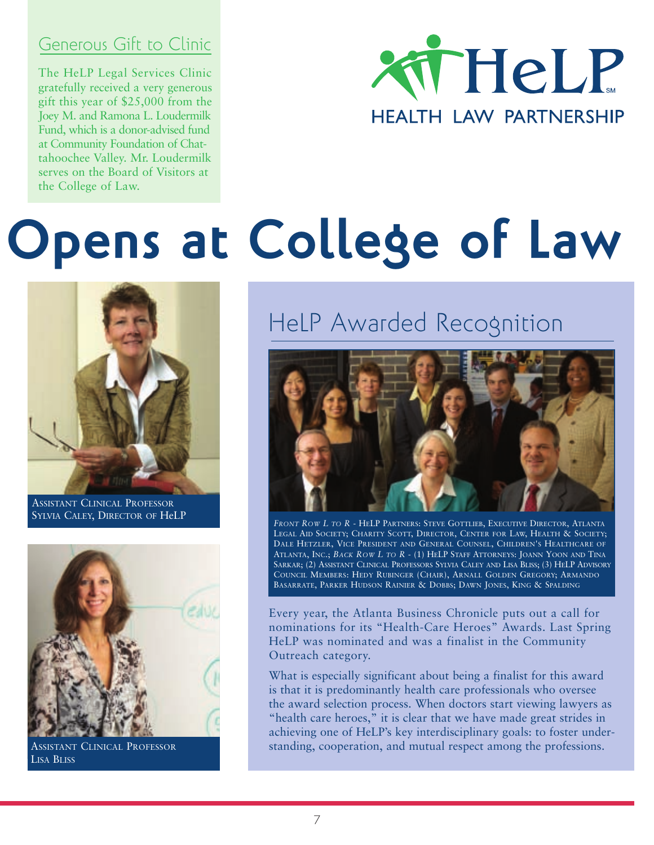## Generous Gift to Clinic

The HeLP Legal Services Clinic<br>gratefully received a very generous  $50%$  of original size original size original size original size original size or  $50%$ The HeLP Legal Services Clinic gift this year of \$25,000 from the Joey M. and Ramona L. Loudermilk Fund, which is a donor-advised fund at Community Foundation of Chattahoochee Valley. Mr. Loudermilk serves on the Board of Visitors at the College of Law.



# **Opens at College of Law**



ASSISTANT CLINICAL PROFESSOR SYLVIA CALEY, DIRECTOR OF HeLP



ASSISTANT CLINICAL PROFESSOR LISA BLISS

# HeLP Awarded Recognition



*FRONT ROW L TO R* - HELP PARTNERS: STEVE GOTTLIEB, EXECUTIVE DIRECTOR, ATLANTA LEGAL AID SOCIETY; CHARITY SCOTT, DIRECTOR, CENTER FOR LAW, HEALTH & SOCIETY; DALE HETZLER, VICE PRESIDENT AND GENERAL COUNSEL, CHILDREN'S HEALTHCARE OF ATLANTA, INC.; *BACK ROW L TO R* - (1) HELP STAFF ATTORNEYS: JOANN YOON AND TINA SARKAR; (2) ASSISTANT CLINICAL PROFESSORS SYLVIA CALEY AND LISA BLISS; (3) HELP ADVISORY COUNCIL MEMBERS: HEDY RUBINGER (CHAIR), ARNALL GOLDEN GREGORY; ARMANDO BASARRATE, PARKER HUDSON RAINIER & DOBBS; DAWN JONES, KING & SPALDING

Every year, the Atlanta Business Chronicle puts out a call for nominations for its "Health-Care Heroes" Awards. Last Spring HeLP was nominated and was a finalist in the Community Outreach category.

What is especially significant about being a finalist for this award is that it is predominantly health care professionals who oversee the award selection process. When doctors start viewing lawyers as "health care heroes," it is clear that we have made great strides in achieving one of HeLP's key interdisciplinary goals: to foster understanding, cooperation, and mutual respect among the professions.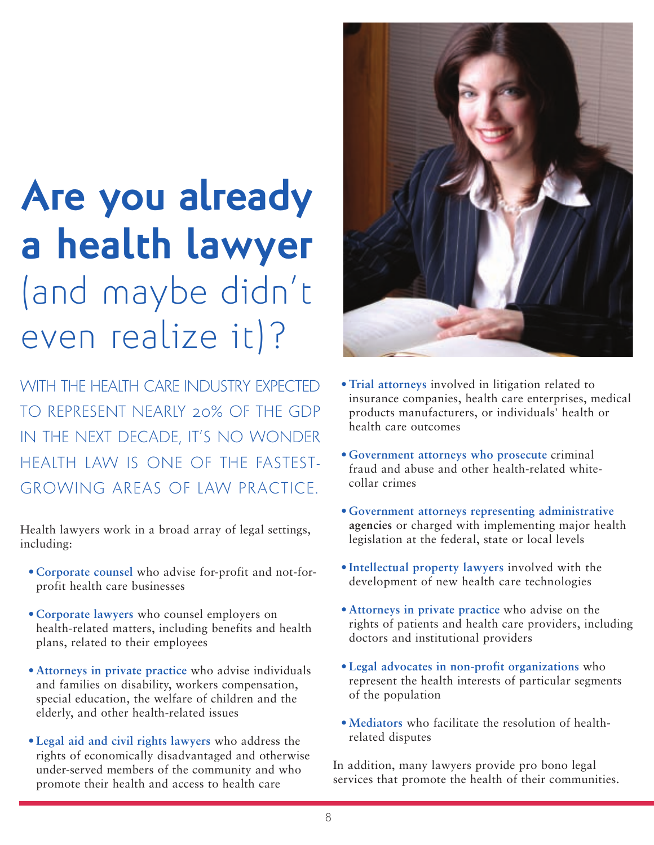# **Are you already a health lawyer** (and maybe didn't even realize it)?

WITH THE HEALTH CARE INDUSTRY EXPECTED TO REPRESENT NEARLY 20% OF THE GDP IN THE NEXT DECADE, IT'S NO WONDER HEALTH LAW IS ONE OF THE FASTEST-GROWING AREAS OF LAW PRACTICE.

Health lawyers work in a broad array of legal settings, including:

- **Corporate counsel** who advise for-profit and not-forprofit health care businesses
- **Corporate lawyers** who counsel employers on health-related matters, including benefits and health plans, related to their employees
- **Attorneys in private practice** who advise individuals and families on disability, workers compensation, special education, the welfare of children and the elderly, and other health-related issues
- **Legal aid and civil rights lawyers** who address the rights of economically disadvantaged and otherwise under-served members of the community and who promote their health and access to health care



- **Trial attorneys** involved in litigation related to insurance companies, health care enterprises, medical products manufacturers, or individuals' health or health care outcomes
- **Government attorneys who prosecute** criminal fraud and abuse and other health-related whitecollar crimes
- **Government attorneys representing administrative agencies** or charged with implementing major health legislation at the federal, state or local levels
- **Intellectual property lawyers** involved with the development of new health care technologies
- **Attorneys in private practice** who advise on the rights of patients and health care providers, including doctors and institutional providers
- **Legal advocates in non-profit organizations** who represent the health interests of particular segments of the population
- **Mediators** who facilitate the resolution of healthrelated disputes

In addition, many lawyers provide pro bono legal services that promote the health of their communities.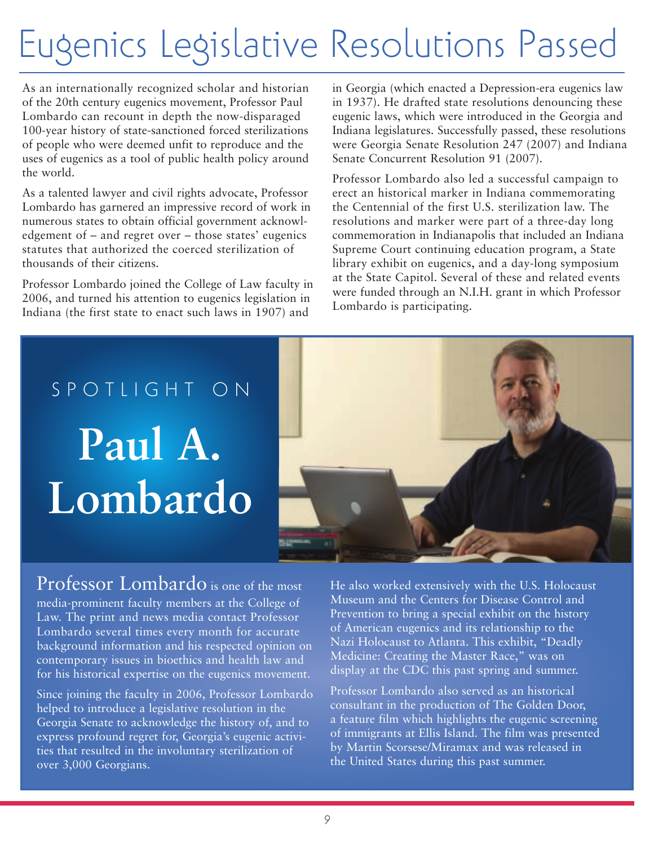# Eugenics Legislative Resolutions Passed

As an internationally recognized scholar and historian of the 20th century eugenics movement, Professor Paul Lombardo can recount in depth the now-disparaged 100-year history of state-sanctioned forced sterilizations of people who were deemed unfit to reproduce and the uses of eugenics as a tool of public health policy around the world.

As a talented lawyer and civil rights advocate, Professor Lombardo has garnered an impressive record of work in numerous states to obtain official government acknowledgement of – and regret over – those states' eugenics statutes that authorized the coerced sterilization of thousands of their citizens.

Professor Lombardo joined the College of Law faculty in 2006, and turned his attention to eugenics legislation in Indiana (the first state to enact such laws in 1907) and

in Georgia (which enacted a Depression-era eugenics law in 1937). He drafted state resolutions denouncing these eugenic laws, which were introduced in the Georgia and Indiana legislatures. Successfully passed, these resolutions were Georgia Senate Resolution 247 (2007) and Indiana Senate Concurrent Resolution 91 (2007).

Professor Lombardo also led a successful campaign to erect an historical marker in Indiana commemorating the Centennial of the first U.S. sterilization law. The resolutions and marker were part of a three-day long commemoration in Indianapolis that included an Indiana Supreme Court continuing education program, a State library exhibit on eugenics, and a day-long symposium at the State Capitol. Several of these and related events were funded through an N.I.H. grant in which Professor Lombardo is participating.





## Professor Lombardo is one of the most

media-prominent faculty members at the College of Law. The print and news media contact Professor Lombardo several times every month for accurate background information and his respected opinion on contemporary issues in bioethics and health law and for his historical expertise on the eugenics movement.

Since joining the faculty in 2006, Professor Lombardo helped to introduce a legislative resolution in the Georgia Senate to acknowledge the history of, and to express profound regret for, Georgia's eugenic activities that resulted in the involuntary sterilization of over 3,000 Georgians.

He also worked extensively with the U.S. Holocaust Museum and the Centers for Disease Control and Prevention to bring a special exhibit on the history of American eugenics and its relationship to the Nazi Holocaust to Atlanta. This exhibit, "Deadly Medicine: Creating the Master Race," was on display at the CDC this past spring and summer.

Professor Lombardo also served as an historical consultant in the production of The Golden Door, a feature film which highlights the eugenic screening of immigrants at Ellis Island. The film was presented by Martin Scorsese/Miramax and was released in the United States during this past summer.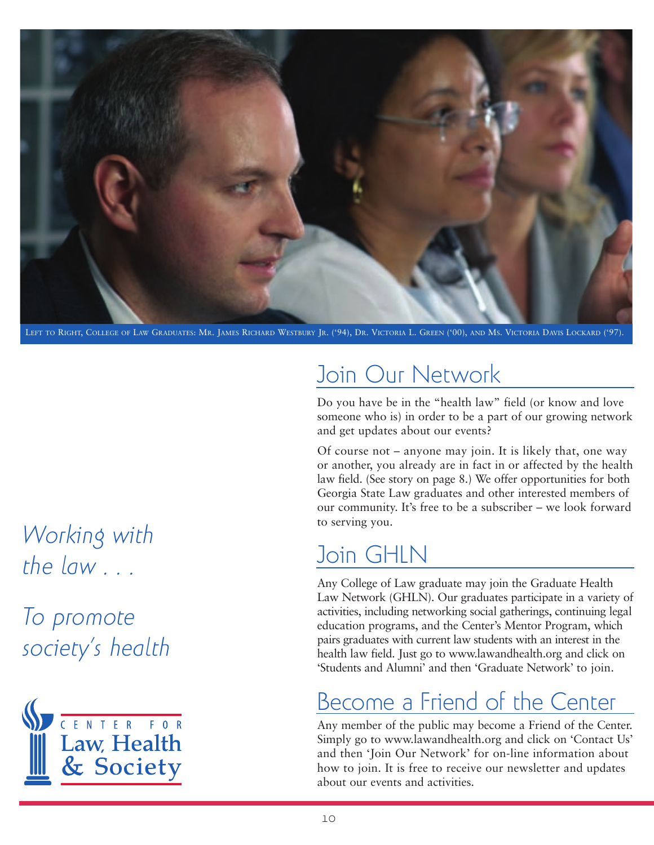

LEFT TO RIGHT, COLLEGE OF LAW GRADUATES: MR. JAMES RICHARD WESTBURY JR. ('94), DR. VICTORIA L. GREEN ('00), AND MS. VICTORIA DAVIS LOCKARD ('97).

## Join Our Network

Do you have be in the "health law" field (or know and love someone who is) in order to be a part of our growing network and get updates about our events?

Of course not – anyone may join. It is likely that, one way or another, you already are in fact in or affected by the health law field. (See story on page 8.) We offer opportunities for both Georgia State Law graduates and other interested members of our community. It's free to be a subscriber – we look forward to serving you.

# Join GHLN

Any College of Law graduate may join the Graduate Health Law Network (GHLN). Our graduates participate in a variety of activities, including networking social gatherings, continuing legal education programs, and the Center's Mentor Program, which pairs graduates with current law students with an interest in the health law field. Just go to www.lawandhealth.org and click on 'Students and Alumni' and then 'Graduate Network' to join.

# Become a Friend of the Center

Any member of the public may become a Friend of the Center. Simply go to www.lawandhealth.org and click on 'Contact Us' and then 'Join Our Network' for on-line information about how to join. It is free to receive our newsletter and updates about our events and activities.

*Working with the law . . .*

*To promote society's health*

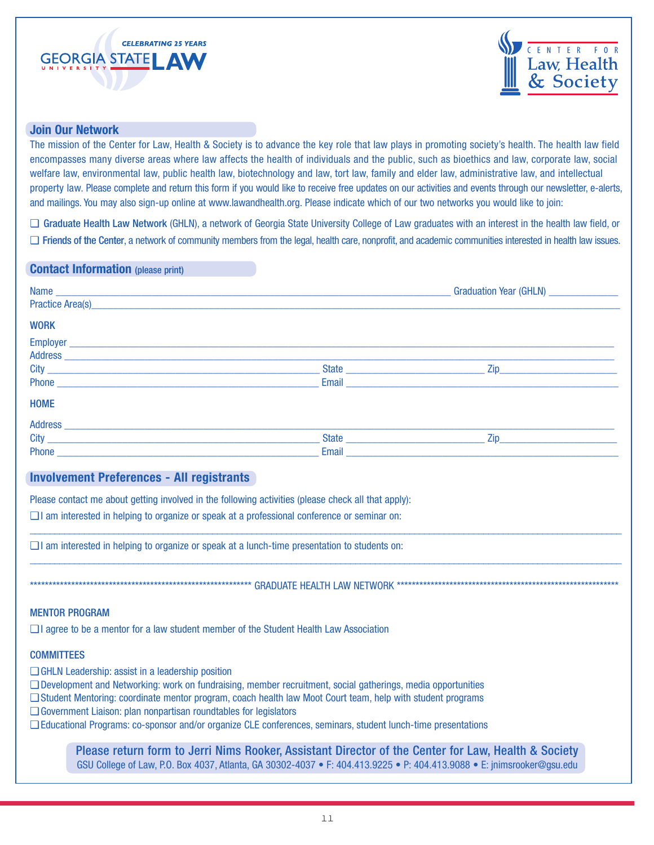



#### **Join Our Network**

The mission of the Center for Law, Health & Society is to advance the key role that law plays in promoting society's health. The health law field encompasses many diverse areas where law affects the health of individuals and the public, such as bioethics and law, corporate law, social welfare law, environmental law, public health law, biotechnology and law, tort law, family and elder law, administrative law, and intellectual property law. Please complete and return this form if you would like to receive free updates on our activities and events through our newsletter, e-alerts, and mailings. You may also sign-up online at www.lawandhealth.org. Please indicate which of our two networks you would like to join:

❑ Graduate Health Law Network (GHLN), a network of Georgia State University College of Law graduates with an interest in the health law field, or ❑ Friends of the Center, a network of community members from the legal, health care, nonprofit, and academic communities interested in health law issues.

#### **Contact Information** (please print)

|                  |                                                                                                                | Graduation Year (GHLN) ________________ |
|------------------|----------------------------------------------------------------------------------------------------------------|-----------------------------------------|
|                  |                                                                                                                |                                         |
| <b>WORK</b>      |                                                                                                                |                                         |
|                  |                                                                                                                |                                         |
|                  |                                                                                                                |                                         |
|                  | State                                                                                                          | Zip                                     |
|                  | Email                                                                                                          |                                         |
| <b>HOME</b>      |                                                                                                                |                                         |
| <b>Address</b>   |                                                                                                                |                                         |
| <b>City City</b> | State and the state of the state of the state of the state of the state of the state of the state of the state | Zip                                     |
|                  | Email                                                                                                          |                                         |

 $\_$  , and the set of the set of the set of the set of the set of the set of the set of the set of the set of the set of the set of the set of the set of the set of the set of the set of the set of the set of the set of th

 $\_$  ,  $\_$  ,  $\_$  ,  $\_$  ,  $\_$  ,  $\_$  ,  $\_$  ,  $\_$  ,  $\_$  ,  $\_$  ,  $\_$  ,  $\_$  ,  $\_$  ,  $\_$  ,  $\_$  ,  $\_$  ,  $\_$  ,  $\_$  ,  $\_$  ,  $\_$  ,  $\_$  ,  $\_$  ,  $\_$  ,  $\_$  ,  $\_$  ,  $\_$  ,  $\_$  ,  $\_$  ,  $\_$  ,  $\_$  ,  $\_$  ,  $\_$  ,  $\_$  ,  $\_$  ,  $\_$  ,  $\_$  ,  $\_$  ,

\*\*\*\*\*\*\*\*\*\*\*\*\*\*\*\*\*\*\*\*\*\*\*\*\*\*\*\*\*\*\*\*\*\*\*\*\*\*\*\*\*\*\*\*\*\*\*\*\*\*\*\*\*\*\*\*\*\*\* GRADUATE HEALTH LAW NETWORK \*\*\*\*\*\*\*\*\*\*\*\*\*\*\*\*\*\*\*\*\*\*\*\*\*\*\*\*\*\*\*\*\*\*\*\*\*\*\*\*\*\*\*\*\*\*\*\*\*\*\*\*\*\*\*\*\*\*\*

#### **Involvement Preferences - All registrants**

Please contact me about getting involved in the following activities (please check all that apply):

❑ I am interested in helping to organize or speak at a professional conference or seminar on:

❑ I am interested in helping to organize or speak at a lunch-time presentation to students on:

#### MENTOR PROGRAM

❑ I agree to be a mentor for a law student member of the Student Health Law Association

#### **COMMITTEES**

- ❑ GHLN Leadership: assist in a leadership position
- ❑ Development and Networking: work on fundraising, member recruitment, social gatherings, media opportunities
- ❑ Student Mentoring: coordinate mentor program, coach health law Moot Court team, help with student programs
- ❑ Government Liaison: plan nonpartisan roundtables for legislators
- ❑ Educational Programs: co-sponsor and/or organize CLE conferences, seminars, student lunch-time presentations

Please return form to Jerri Nims Rooker, Assistant Director of the Center for Law, Health & Society GSU College of Law, P.O. Box 4037, Atlanta, GA 30302-4037 • F: 404.413.9225 • P: 404.413.9088 • E: jnimsrooker@gsu.edu